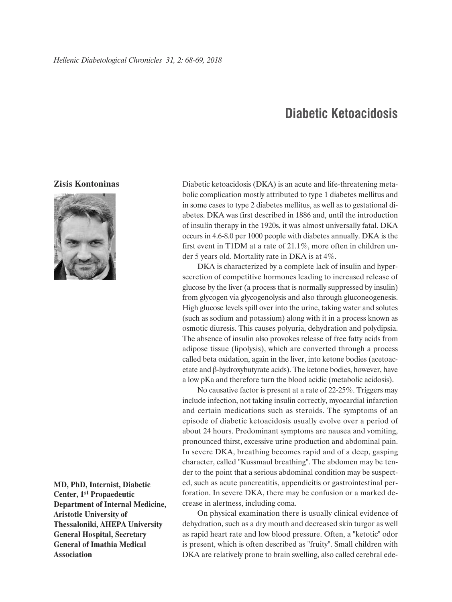## **Diabetic Ketoacidosis**

## **Zisis Kontoninas**



**MD, PhD, Internist, Diabetic Center, 1st Propaedeutic Department of Internal Medicine, Aristotle University of Thessaloniki, AHEPA University General Hospital, Secretary General of Imathia Medical Association**

Diabetic ketoacidosis (DKA) is an acute and life-threatening metabolic complication mostly attributed to type 1 diabetes mellitus and in some cases to type 2 diabetes mellitus, as well as to gestational diabetes. DKA was first described in 1886 and, until the introduction of insulin therapy in the 1920s, it was almost universally fatal. DKA occurs in 4.6-8.0 per 1000 people with diabetes annually. DKA is the first event in T1DM at a rate of 21.1%, more often in children under 5 years old. Mortality rate in DKA is at 4%.

DKA is characterized by a complete lack of insulin and hypersecretion of competitive hormones leading to increased release of glucose by the liver (a process that is normally suppressed by insulin) from glycogen via glycogenolysis and also through gluconeogenesis. High glucose levels spill over into the urine, taking water and solutes (such as sodium and potassium) along with it in a process known as osmotic diuresis. This causes polyuria, dehydration and polydipsia. The absence of insulin also provokes release of free fatty acids from adipose tissue (lipolysis), which are converted through a process called beta oxidation, again in the liver, into ketone bodies (acetoacetate and β-hydroxybutyrate acids). The ketone bodies, however, have a low pKa and therefore turn the blood acidic (metabolic acidosis).

No causative factor is present at a rate of 22-25%. Triggers may include infection, not taking insulin correctly, myocardial infarction and certain medications such as steroids. The symptoms of an episode of diabetic ketoacidosis usually evolve over a period of about 24 hours. Predominant symptoms are nausea and vomiting, pronounced thirst, excessive urine production and abdominal pain. In severe DKA, breathing becomes rapid and of a deep, gasping character, called "Kussmaul breathing". The abdomen may be tender to the point that a serious abdominal condition may be suspected, such as acute pancreatitis, appendicitis or gastrointestinal perforation. In severe DKA, there may be confusion or a marked decrease in alertness, including coma.

On physical examination there is usually clinical evidence of dehydration, such as a dry mouth and decreased skin turgor as well as rapid heart rate and low blood pressure. Often, a "ketotic" odor is present, which is often described as "fruity". Small children with DKA are relatively prone to brain swelling, also called cerebral ede